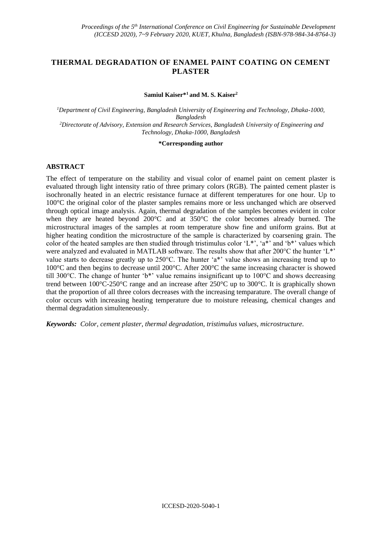# **THERMAL DEGRADATION OF ENAMEL PAINT COATING ON CEMENT PLASTER**

**Samiul Kaiser\*<sup>1</sup>and M. S. Kaiser<sup>2</sup>**

*<sup>1</sup>Department of Civil Engineering, Bangladesh University of Engineering and Technology, Dhaka-1000, Bangladesh <sup>2</sup>Directorate of Advisory, Extension and Research Services, Bangladesh University of Engineering and Technology, Dhaka-1000, Bangladesh*

#### **\*Corresponding author**

#### **ABSTRACT**

The effect of temperature on the stability and visual color of enamel paint on cement plaster is evaluated through light intensity ratio of three primary colors (RGB). The painted cement plaster is isochronally heated in an electric resistance furnace at different temperatures for one hour. Up to 100°C the original color of the plaster samples remains more or less unchanged which are observed through optical image analysis. Again, thermal degradation of the samples becomes evident in color when they are heated beyond 200°C and at 350°C the color becomes already burned. The microstructural images of the samples at room temperature show fine and uniform grains. But at higher heating condition the microstructure of the sample is characterized by coarsening grain. The color of the heated samples are then studied through tristimulus color 'L\*', 'a\*' and 'b\*' values which were analyzed and evaluated in MATLAB software. The results show that after 200°C the hunter 'L\*' value starts to decrease greatly up to 250°C. The hunter 'a\*' value shows an increasing trend up to 100°C and then begins to decrease until 200°C. After 200°C the same increasing character is showed till 300°C. The change of hunter 'b\*' value remains insignificant up to 100°C and shows decreasing trend between 100°C-250°C range and an increase after 250°C up to 300°C. It is graphically shown that the proportion of all three colors decreases with the increasing temparature. The overall change of color occurs with increasing heating temperature due to moisture releasing, chemical changes and thermal degradation simulteneously.

*Keywords: Color, cement plaster, thermal degradation, tristimulus values, microstructure.*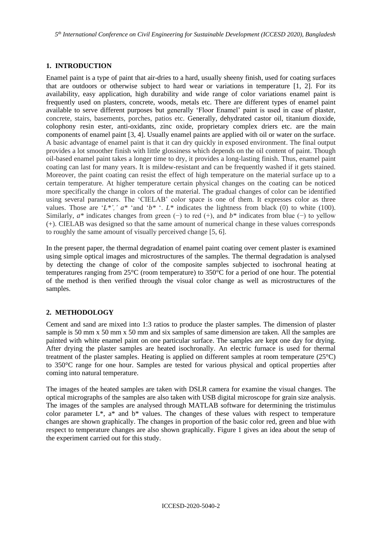*5 th International Conference on Civil Engineering for Sustainable Development (ICCESD 2020), Bangladesh*

### **1. INTRODUCTION**

Enamel paint is a type of [paint](https://en.wikipedia.org/wiki/Paint) that air-dries to a hard, usually sheeny finish, used for coating surfaces that are outdoors or otherwise subject to hard wear or variations in temperature [1, 2]. For its availability, easy application, high durability and wide range of color variations enamel paint is frequently used on plasters, concrete, woods, metals etc. There are different types of enamel paint available to serve different purposes but generally 'Floor Enamel' paint is used in case of plaster, concrete, stairs, basements, porches, patios etc. Generally, dehydrated castor oil, titanium dioxide, colophony resin ester, anti-oxidants, zinc oxide, proprietary complex driers etc. are the main components of enamel paint [3, 4]. Usually enamel paints are applied with oil or water on the surface. A basic advantage of enamel paint is that it can dry quickly in exposed environment. The final output provides a lot smoother finish with little glossiness which depends on the oil content of paint. Though oil-based enamel paint takes a longer time to dry, it provides a long-lasting finish. Thus, enamel paint coating can last for many years. It is mildew-resistant and can be frequently washed if it gets stained. Moreover, the paint coating can resist the effect of high temperature on the material surface up to a certain temperature. At higher temperature certain physical changes on the coating can be noticed more specifically the change in colors of the material. The gradual changes of color can be identified using several parameters. The 'CIELAB' color space is one of them. It expresses color as three values. Those are ' $L^*$ ', '  $a^*$  'and ' $b^*$ '.  $L^*$  indicates the lightness from black (0) to white (100). Similarly, *a\** indicates changes from green (−) to red (+), and *b\** indicates from blue (−) to yellow (+). CIELAB was designed so that the same amount of numerical change in these values corresponds to roughly the same amount of visually perceived change [5, 6].

In the present paper, the thermal degradation of enamel paint coating over cement plaster is examined using simple optical images and microstructures of the samples. The thermal degradation is analysed by detecting the change of color of the composite samples subjected to isochronal heating at temperatures ranging from 25°C (room temperature) to 350°C for a period of one hour. The potential of the method is then verified through the visual color change as well as microstructures of the samples.

## **2. METHODOLOGY**

Cement and sand are mixed into 1:3 ratios to produce the plaster samples. The dimension of plaster sample is 50 mm x 50 mm x 50 mm and six samples of same dimension are taken. All the samples are painted with white enamel paint on one particular surface. The samples are kept one day for drying. After drying the plaster samples are heated isochronally. An electric furnace is used for thermal treatment of the plaster samples. Heating is applied on different samples at room temperature (25°C) to 350°C range for one hour. Samples are tested for various physical and optical properties after coming into natural temperature.

The images of the heated samples are taken with DSLR camera for examine the visual changes. The optical micrographs of the samples are also taken with USB digital microscope for grain size analysis. The images of the samples are analysed through MATLAB software for determining the tristimulus color parameter  $L^*$ , a<sup>\*</sup> and  $b^*$  values. The changes of these values with respect to temperature changes are shown graphically. The changes in proportion of the basic color red, green and blue with respect to temperature changes are also shown graphically. Figure 1 gives an idea about the setup of the experiment carried out for this study.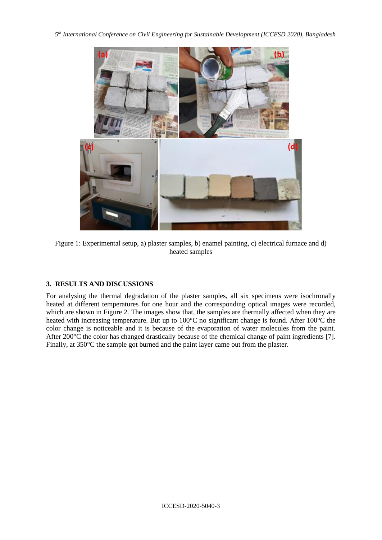*5 th International Conference on Civil Engineering for Sustainable Development (ICCESD 2020), Bangladesh*



Figure 1: Experimental setup, a) plaster samples, b) enamel painting, c) electrical furnace and d) heated samples

## **3. RESULTS AND DISCUSSIONS**

For analysing the thermal degradation of the plaster samples, all six specimens were isochronally heated at different temperatures for one hour and the corresponding optical images were recorded, which are shown in Figure 2. The images show that, the samples are thermally affected when they are heated with increasing temperature. But up to 100<sup>o</sup>C no significant change is found. After 100<sup>o</sup>C the color change is noticeable and it is because of the evaporation of water molecules from the paint. After 200°C the color has changed drastically because of the chemical change of paint ingredients [7]. Finally, at 350°C the sample got burned and the paint layer came out from the plaster.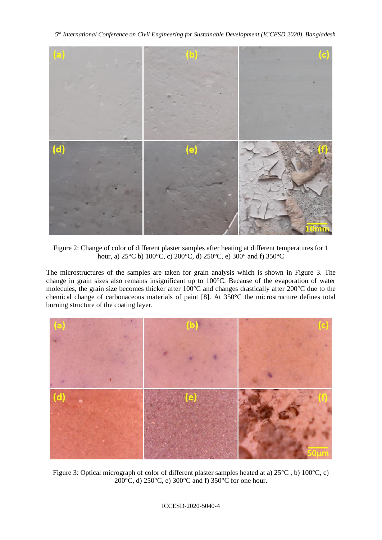*5 th International Conference on Civil Engineering for Sustainable Development (ICCESD 2020), Bangladesh*



Figure 2: Change of color of different plaster samples after heating at different temperatures for 1 hour, a) 25°C b) 100°C, c) 200°C, d) 250°C, e) 300° and f) 350°C

The microstructures of the samples are taken for grain analysis which is shown in Figure 3. The change in grain sizes also remains insignificant up to 100°C. Because of the evaporation of water molecules, the grain size becomes thicker after 100°C and changes drastically after 200°C due to the chemical change of carbonaceous materials of paint [8]. At 350°C the microstructure defines total burning structure of the coating layer.



Figure 3: Optical micrograph of color of different plaster samples heated at a) 25°C , b) 100°C, c) 200°C, d) 250°C, e) 300°C and f) 350°C for one hour.

ICCESD-2020-5040-4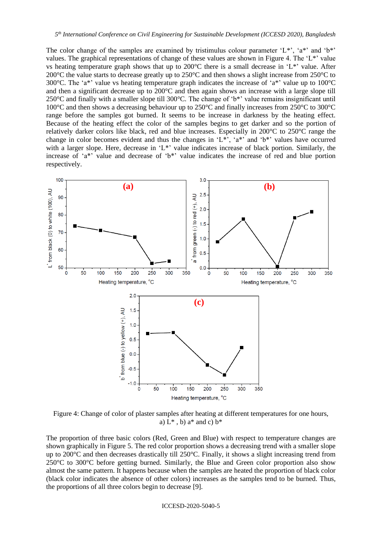The color change of the samples are examined by tristimulus colour parameter 'L\*', 'a\*' and 'b\*' values. The graphical representations of change of these values are shown in Figure 4. The 'L\*' value vs heating temperature graph shows that up to 200°C there is a small decrease in 'L\*' value. After 200 $^{\circ}$ C the value starts to decrease greatly up to 250 $^{\circ}$ C and then shows a slight increase from 250 $^{\circ}$ C to 300 $^{\circ}$ C. The 'a\*' value vs heating temperature graph indicates the increase of 'a\*' value up to 100 $^{\circ}$ C and then a significant decrease up to 200°C and then again shows an increase with a large slope till 250°C and finally with a smaller slope till 300°C. The change of 'b\*' value remains insignificant until 100°C and then shows a decreasing behaviour up to 250°C and finally increases from 250°C to 300°C range before the samples got burned. It seems to be increase in darkness by the heating effect. Because of the heating effect the color of the samples begins to get darker and so the portion of relatively darker colors like black, red and blue increases. Especially in 200°C to 250°C range the change in color becomes evident and thus the changes in 'L\*', 'a\*' and 'b\*' values have occurred with a larger slope. Here, decrease in 'L\*' value indicates increase of black portion. Similarly, the increase of 'a\*' value and decrease of 'b\*' value indicates the increase of red and blue portion respectively.



Figure 4: Change of color of plaster samples after heating at different temperatures for one hours, a)  $L^*$ , b) a\* and c)  $b^*$ 

The proportion of three basic colors (Red, Green and Blue) with respect to temperature changes are shown graphically in Figure 5. The red color proportion shows a decreasing trend with a smaller slope up to 200°C and then decreases drastically till 250°C. Finally, it shows a slight increasing trend from  $250^{\circ}$ C to 300 $^{\circ}$ C before getting burned. Similarly, the Blue and Green color proportion also show almost the same pattern. It happens because when the samples are heated the proportion of black color (black color indicates the absence of other colors) increases as the samples tend to be burned. Thus, the proportions of all three colors begin to decrease [9].

ICCESD-2020-5040-5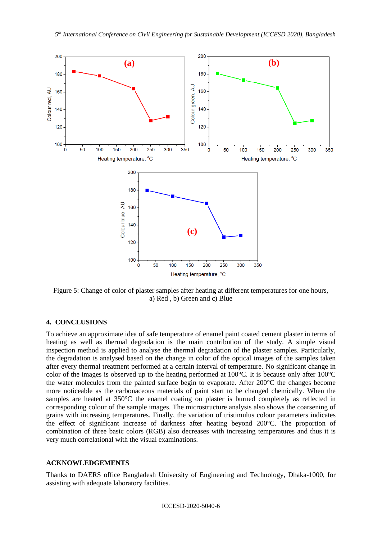

Figure 5: Change of color of plaster samples after heating at different temperatures for one hours, a) Red , b) Green and c) Blue

#### **4. CONCLUSIONS**

To achieve an approximate idea of safe temperature of enamel paint coated cement plaster in terms of heating as well as thermal degradation is the main contribution of the study. A simple visual inspection method is applied to analyse the thermal degradation of the plaster samples. Particularly, the degradation is analysed based on the change in color of the optical images of the samples taken after every thermal treatment performed at a certain interval of temperature. No significant change in color of the images is observed up to the heating performed at 100°C. It is because only after 100°C the water molecules from the painted surface begin to evaporate. After 200°C the changes become more noticeable as the carbonaceous materials of paint start to be changed chemically. When the samples are heated at 350°C the enamel coating on plaster is burned completely as reflected in corresponding colour of the sample images. The microstructure analysis also shows the coarsening of grains with increasing temperatures. Finally, the variation of tristimulus colour parameters indicates the effect of significant increase of darkness after heating beyond 200°C. The proportion of combination of three basic colors (RGB) also decreases with increasing temperatures and thus it is very much correlational with the visual examinations.

#### **ACKNOWLEDGEMENTS**

Thanks to DAERS office Bangladesh University of Engineering and Technology, Dhaka-1000, for assisting with adequate laboratory facilities.